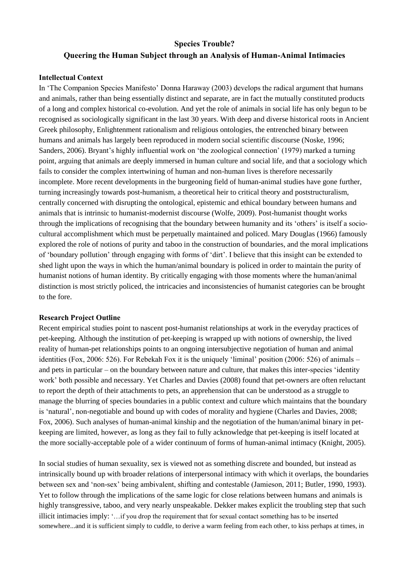# **Species Trouble? Queering the Human Subject through an Analysis of Human-Animal Intimacies**

## **Intellectual Context**

In 'The Companion Species Manifesto' Donna Haraway (2003) develops the radical argument that humans and animals, rather than being essentially distinct and separate, are in fact the mutually constituted products of a long and complex historical co-evolution. And yet the role of animals in social life has only begun to be recognised as sociologically significant in the last 30 years. With deep and diverse historical roots in Ancient Greek philosophy, Enlightenment rationalism and religious ontologies, the entrenched binary between humans and animals has largely been reproduced in modern social scientific discourse (Noske, 1996; Sanders, 2006). Bryant's highly influential work on 'the zoological connection' (1979) marked a turning point, arguing that animals are deeply immersed in human culture and social life, and that a sociology which fails to consider the complex intertwining of human and non-human lives is therefore necessarily incomplete. More recent developments in the burgeoning field of human-animal studies have gone further, turning increasingly towards post-humanism, a theoretical heir to critical theory and poststructuralism, centrally concerned with disrupting the ontological, epistemic and ethical boundary between humans and animals that is intrinsic to humanist-modernist discourse (Wolfe, 2009). Post-humanist thought works through the implications of recognising that the boundary between humanity and its 'others' is itself a sociocultural accomplishment which must be perpetually maintained and policed. Mary Douglas (1966) famously explored the role of notions of purity and taboo in the construction of boundaries, and the moral implications of 'boundary pollution' through engaging with forms of 'dirt'. I believe that this insight can be extended to shed light upon the ways in which the human/animal boundary is policed in order to maintain the purity of humanist notions of human identity. By critically engaging with those moments where the human/animal distinction is most strictly policed, the intricacies and inconsistencies of humanist categories can be brought to the fore.

### **Research Project Outline**

Recent empirical studies point to nascent post-humanist relationships at work in the everyday practices of pet-keeping. Although the institution of pet-keeping is wrapped up with notions of ownership, the lived reality of human-pet relationships points to an ongoing intersubjective negotiation of human and animal identities (Fox, 2006: 526). For Rebekah Fox it is the uniquely 'liminal' position (2006: 526) of animals – and pets in particular – on the boundary between nature and culture, that makes this inter-species 'identity work' both possible and necessary. Yet Charles and Davies (2008) found that pet-owners are often reluctant to report the depth of their attachments to pets, an apprehension that can be understood as a struggle to manage the blurring of species boundaries in a public context and culture which maintains that the boundary is 'natural', non-negotiable and bound up with codes of morality and hygiene (Charles and Davies, 2008; Fox, 2006). Such analyses of human-animal kinship and the negotiation of the human/animal binary in petkeeping are limited, however, as long as they fail to fully acknowledge that pet-keeping is itself located at the more socially-acceptable pole of a wider continuum of forms of human-animal intimacy (Knight, 2005).

In social studies of human sexuality, sex is viewed not as something discrete and bounded, but instead as intrinsically bound up with broader relations of interpersonal intimacy with which it overlaps, the boundaries between sex and 'non-sex' being ambivalent, shifting and contestable (Jamieson, 2011; Butler, 1990, 1993). Yet to follow through the implications of the same logic for close relations between humans and animals is highly transgressive, taboo, and very nearly unspeakable. Dekker makes explicit the troubling step that such illicit intimacies imply: '…if you drop the requirement that for sexual contact something has to be inserted somewhere...and it is sufficient simply to cuddle, to derive a warm feeling from each other, to kiss perhaps at times, in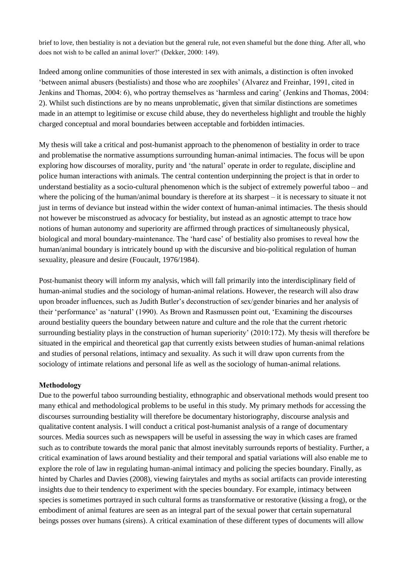brief to love, then bestiality is not a deviation but the general rule, not even shameful but the done thing. After all, who does not wish to be called an animal lover?' (Dekker, 2000: 149).

Indeed among online communities of those interested in sex with animals, a distinction is often invoked 'between animal abusers (bestialists) and those who are zoophiles' (Alvarez and Freinhar, 1991, cited in Jenkins and Thomas, 2004: 6), who portray themselves as 'harmless and caring' (Jenkins and Thomas, 2004: 2). Whilst such distinctions are by no means unproblematic, given that similar distinctions are sometimes made in an attempt to legitimise or excuse child abuse, they do nevertheless highlight and trouble the highly charged conceptual and moral boundaries between acceptable and forbidden intimacies.

My thesis will take a critical and post-humanist approach to the phenomenon of bestiality in order to trace and problematise the normative assumptions surrounding human-animal intimacies. The focus will be upon exploring how discourses of morality, purity and 'the natural' operate in order to regulate, discipline and police human interactions with animals. The central contention underpinning the project is that in order to understand bestiality as a socio-cultural phenomenon which is the subject of extremely powerful taboo – and where the policing of the human/animal boundary is therefore at its sharpest – it is necessary to situate it not just in terms of deviance but instead within the wider context of human-animal intimacies. The thesis should not however be misconstrued as advocacy for bestiality, but instead as an agnostic attempt to trace how notions of human autonomy and superiority are affirmed through practices of simultaneously physical, biological and moral boundary-maintenance. The 'hard case' of bestiality also promises to reveal how the human/animal boundary is intricately bound up with the discursive and bio-political regulation of human sexuality, pleasure and desire (Foucault, 1976/1984).

Post-humanist theory will inform my analysis, which will fall primarily into the interdisciplinary field of human-animal studies and the sociology of human-animal relations. However, the research will also draw upon broader influences, such as Judith Butler's deconstruction of sex/gender binaries and her analysis of their 'performance' as 'natural' (1990). As Brown and Rasmussen point out, 'Examining the discourses around bestiality queers the boundary between nature and culture and the role that the current rhetoric surrounding bestiality plays in the construction of human superiority' (2010:172). My thesis will therefore be situated in the empirical and theoretical gap that currently exists between studies of human-animal relations and studies of personal relations, intimacy and sexuality. As such it will draw upon currents from the sociology of intimate relations and personal life as well as the sociology of human-animal relations.

### **Methodology**

Due to the powerful taboo surrounding bestiality, ethnographic and observational methods would present too many ethical and methodological problems to be useful in this study. My primary methods for accessing the discourses surrounding bestiality will therefore be documentary historiography, discourse analysis and qualitative content analysis. I will conduct a critical post-humanist analysis of a range of documentary sources. Media sources such as newspapers will be useful in assessing the way in which cases are framed such as to contribute towards the moral panic that almost inevitably surrounds reports of bestiality. Further, a critical examination of laws around bestiality and their temporal and spatial variations will also enable me to explore the role of law in regulating human-animal intimacy and policing the species boundary. Finally, as hinted by Charles and Davies (2008), viewing fairytales and myths as social artifacts can provide interesting insights due to their tendency to experiment with the species boundary. For example, intimacy between species is sometimes portrayed in such cultural forms as transformative or restorative (kissing a frog), or the embodiment of animal features are seen as an integral part of the sexual power that certain supernatural beings posses over humans (sirens). A critical examination of these different types of documents will allow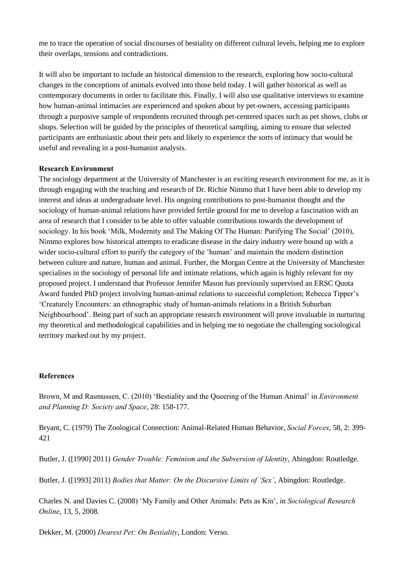me to trace the operation of social discourses of bestiality on different cultural levels, helping me to explore their overlaps, tensions and contradictions.

It will also be important to include an historical dimension to the research, exploring how socio-cultural changes in the conceptions of animals evolved into those held today. I will gather historical as well as contemporary documents in order to facilitate this. Finally, I will also use qualitative interviews to examine how human-animal intimacies are experienced and spoken about by pet-owners, accessing participants through a purposive sample of respondents recruited through pet-centered spaces such as pet shows, clubs or shops. Selection will be guided by the principles of theoretical sampling, aiming to ensure that selected participants are enthusiastic about their pets and likely to experience the sorts of intimacy that would be useful and revealing in a post-humanist analysis.

## **Research Environment**

The sociology department at the University of Manchester is an exciting research environment for me, as it is through engaging with the teaching and research of Dr. Richie Nimmo that I have been able to develop my interest and ideas at undergraduate level. His ongoing contributions to post-humanist thought and the sociology of human-animal relations have provided fertile ground for me to develop a fascination with an area of research that I consider to be able to offer valuable contributions towards the development of sociology. In his book 'Milk, Modernity and The Making Of The Human: Purifying The Social' (2010), Nimmo explores how historical attempts to eradicate disease in the dairy industry were bound up with a wider socio-cultural effort to purify the category of the 'human' and maintain the modern distinction between culture and nature, human and animal. Further, the Morgan Centre at the University of Manchester specialises in the sociology of personal life and intimate relations, which again is highly relevant for my proposed project. I understand that Professor Jennifer Mason has previously supervised an ERSC Quota Award funded PhD project involving human-animal relations to successful completion; Rebecca Tipper's 'Creaturely Encounters: an ethnographic study of human-animals relations in a British Suburban Neighbourhood'. Being part of such an appropriate research environment will prove invaluable in nurturing my theoretical and methodological capabilities and in helping me to negotiate the challenging sociological territory marked out by my project.

### **References**

Brown, M and Rasmussen, C. (2010) 'Bestiality and the Queering of the Human Animal' in *Environment and Planning D: Society and Space*, 28: 158-177.

Bryant, C. (1979) The Zoological Connection: Animal-Related Human Behavior, *Social Forces*, 58, 2: 399- 421

Butler, J. ([1990] 2011) *Gender Trouble: Feminism and the Subversion of Identity*, Abingdon: Routledge.

Butler, J. ([1993] 2011) *Bodies that Matter: On the Discursive Limits of 'Sex'*, Abingdon: Routledge.

Charles N. and Davies C. (2008) 'My Family and Other Animals: Pets as Kin', in *Sociological Research Online*, 13, 5, 2008.

Dekker, M. (2000) *Dearest Pet: On Bestiality*, London: Verso.